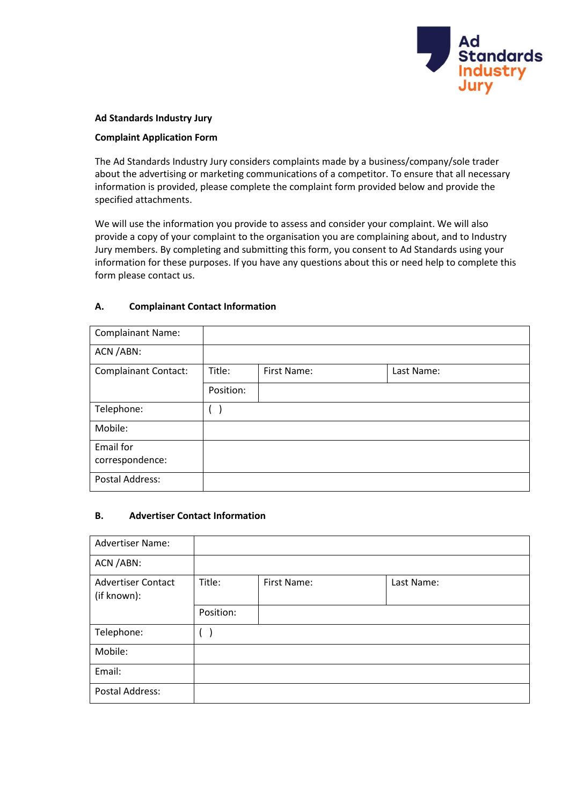

### **Ad Standards Industry Jury**

### **Complaint Application Form**

The Ad Standards Industry Jury considers complaints made by a business/company/sole trader about the advertising or marketing communications of a competitor. To ensure that all necessary information is provided, please complete the complaint form provided below and provide the specified attachments.

We will use the information you provide to assess and consider your complaint. We will also provide a copy of your complaint to the organisation you are complaining about, and to Industry Jury members. By completing and submitting this form, you consent to Ad Standards using your information for these purposes. If you have any questions about this or need help to complete this form please contact us.

### **A. Complainant Contact Information**

| <b>Complainant Name:</b>    |           |             |            |
|-----------------------------|-----------|-------------|------------|
| ACN / ABN:                  |           |             |            |
| <b>Complainant Contact:</b> | Title:    | First Name: | Last Name: |
|                             | Position: |             |            |
| Telephone:                  |           |             |            |
| Mobile:                     |           |             |            |
| Email for                   |           |             |            |
| correspondence:             |           |             |            |
| Postal Address:             |           |             |            |

#### **B. Advertiser Contact Information**

| <b>Advertiser Name:</b>                  |           |             |            |
|------------------------------------------|-----------|-------------|------------|
| ACN / ABN:                               |           |             |            |
| <b>Advertiser Contact</b><br>(if known): | Title:    | First Name: | Last Name: |
|                                          | Position: |             |            |
| Telephone:                               |           |             |            |
| Mobile:                                  |           |             |            |
| Email:                                   |           |             |            |
| Postal Address:                          |           |             |            |